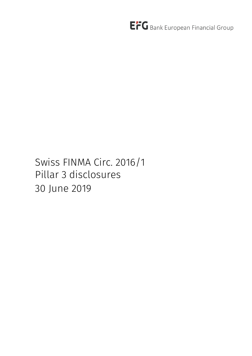Swiss FINMA Circ. 2016/1 Pillar 3 disclosures 30 June 2019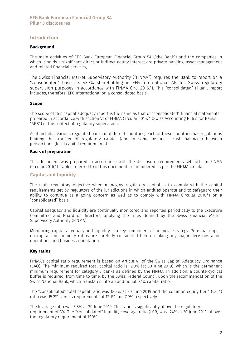## Introduction

#### Background

The main activities of EFG Bank European Financial Group SA ("the Bank") and the companies in which it holds a significant direct or indirect equity interest are private banking, asset management and related financial services.

The Swiss Financial Market Supervisory Authority (''FINMA'') requires the Bank to report on a ''consolidated'' basis its 43.7% shareholding in EFG International AG for Swiss regulatory supervision purposes in accordance with FINMA Circ. 2016/1. This "consolidated" Pillar 3 report includes, therefore, EFG International on a consolidated basis.

### Scope

The scope of this capital adequacy report is the same as that of "consolidated" financial statements prepared in accordance with section VI of FINMA Circular 2015/1 (Swiss Accounting Rules for Banks "ARB") in the context of regulatory supervision.

As it includes various regulated banks in different countries, each of these countries has regulations limiting the transfer of regulatory capital (and in some instances cash balances) between jurisdictions (local capital requirements).

### Basis of preparation

This document was prepared in accordance with the disclosure requirements set forth in FINMA Circular 2016/1. Tables referred to in this document are numbered as per the FINMA circular.

# Capital and liquidity

The main regulatory objective when managing regulatory capital is to comply with the capital requirements set by regulators of the jurisdictions in which entities operate and to safeguard their ability to continue as a going concern as well as to comply with FINMA Circular 2016/1 on a "consolidated" basis.

Capital adequacy and liquidity are continually monitored and reported periodically to the Executive Committee and Board of Directors, applying the rules defined by the Swiss Financial Market Supervisory Authority (FINMA).

Monitoring capital adequacy and liquidity is a key component of financial strategy. Potential impact on capital and liquidity ratios are carefully considered before making any major decisions about operations and business orientation.

#### Key ratios

FINMA's capital ratio requirement is based on Article 41 of the Swiss Capital Adequacy Ordinance (CAO). The minimum required total capital ratio is 12.0% (at 30 June 2019), which is the permanent minimum requirement for category 3 banks as defined by the FINMA. In addition, a countercyclical buffer is required, from time to time, by the Swiss Federal Council upon the recommendation of the Swiss National Bank, which translates into an additional 0.1% capital ratio.

The "consolidated" total capital ratio was 18.8% at 30 June 2019 and the common equity tier 1 (CET1) ratio was 15.2%, versus requirements of 12.1% and 7.9% respectively.

The leverage ratio was 3.8% at 30 June 2019. This ratio is significantly above the regulatory requirement of 3%. The "consolidated" liquidity coverage ratio (LCR) was 174% at 30 June 2019, above the regulatory requirement of 100%.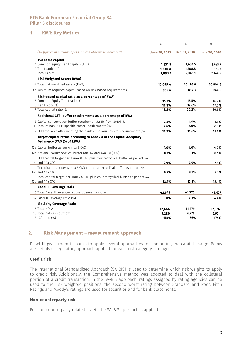# 1. KM1: Key Metrics

|                                                                                                    | a             | C             | e             |
|----------------------------------------------------------------------------------------------------|---------------|---------------|---------------|
| (All figures in millions of CHF unless otherwise indicated)                                        | June 30, 2019 | Dec. 31, 2018 | June 30, 2018 |
| Available capital                                                                                  |               |               |               |
| 1 Common equity Tier 1 capital (CET1)                                                              | 1.531.5       | 1,681.5       | 1,748.7       |
| 2 Tier 1 capital (T1)                                                                              | 1,636.8       | 1,788.8       | 1,863.7       |
| 3 Total Capital                                                                                    | 1,893.7       | 2,061.1       | 2,144.9       |
| <b>Risk Weighted Assets (RWA)</b>                                                                  |               |               |               |
| 4 Total risk-weighted assets (RWA)                                                                 | 10,069.4      | 10,178.6      | 10,806.8      |
| 4a Minimum required capital based on risk-based requirements                                       | 805.6         | 814.3         | 864.5         |
| Risk-based capital ratio as a percentage of RWA)                                                   |               |               |               |
| 5 Common Equity Tier 1 ratio (%)                                                                   | 15.2%         | 16.5%         | 16.2%         |
| 6 Tier 1 ratio (%)                                                                                 | 16.3%         | 17.6%         | 17.2%         |
| 7 Total capital ratio (%)                                                                          | 18.8%         | 20.2%         | 19.8%         |
| Additional CET1 buffer requirements as a percentage of RWA                                         |               |               |               |
| 8 Capital conservation buffer requirement (2.5% from 2019) (%)                                     | 2.5%          | 1.9%          | 1.9%          |
| 11 Total of bank CET1 specific buffer requirements (%)                                             | 2.6%          | 2.0%          | 2.0%          |
| 12 CET1 available after meeting the bank's minimum capital requirements (%)                        | 10.3%         | 11.6%         | 11.2%         |
| Target capital ratios according to Annex 8 of the Capital Adequacy<br>Ordinance (CAO (% of RWA)    |               |               |               |
| 12a Capital buffer as per Annex 8 CAO                                                              | 4.0%          | 4.0%          | 4.0%          |
| 12b National countercyclical buffer (art. 44 and 44a CAO) (%)                                      | 0.1%          | 0.1%          | 0.1%          |
| CET1 capital target per Annex 8 CAO plus countercyclical buffer as per art. 44                     |               |               |               |
| 12c and 44a CAO                                                                                    | 7.9%          | 7.9%          | 7.9%          |
| T1 capital target per Annex 8 CAO plus countercyclical buffer as per art. 44                       |               |               |               |
| 12d and 44a CAO                                                                                    | 9.7%          | 9.7%          | 9.7%          |
| Total capital target per Annex 8 CAO plus countercyclical buffer as per art. 44<br>12e and 44a CAO | 12.1%         | 12.1%         | 12.1%         |
| <b>Basel III Leverage ratio</b>                                                                    |               |               |               |
| 13 Total Basel III leverage ratio exposure measure                                                 | 42,647        | 41,375        | 42,627        |
| 14 Basel III Leverage ratio (%)                                                                    | 3.8%          | 4.3%          | 4.4%          |
| <b>Liquidity Coverage Ratio</b>                                                                    |               |               |               |
| 15 Total HOLA                                                                                      | 12,666        | 11,279        | 12,136        |
| 16 Total net cash outflow                                                                          | 7,280         | 6,779         | 6,971         |
| 17 LCR ratio (%)                                                                                   | 174%          | 166%          | 174%          |

## 2. Risk Management – measurement approach

Basel III gives room to banks to apply several approaches for computing the capital charge. Below are details of regulatory approach applied for each risk category managed.

## Credit risk

The International Standardised Approach (SA-BIS) is used to determine which risk weights to apply to credit risk. Additionaly, the Comprehensive method was adopted to deal with the collateral portion of a credit transaction. In the SA-BIS approach, ratings assigned by rating agencies can be used to the risk weighted positions: the second worst rating between Standard and Poor, Fitch Ratings and Moody's ratings are used for securities and for bank placements.

## Non-counterparty risk

For non-counterparty related assets the SA-BIS approach is applied.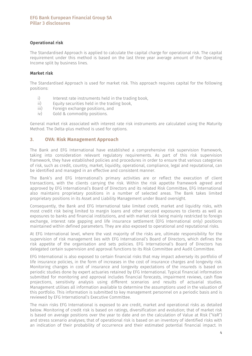## Operational risk

The Standardised Approach is applied to calculate the capital charge for operational risk. The capital requirement under this method is based on the last three year average amount of the Operating Income split by business lines.

### Market risk

The Standardised Approach is used for market risk. This approach requires capital for the following positions:

- i) Interest rate instruments held in the trading book,
- ii) Equity securities held in the trading book,
- iii) Foreign exchange positions, and<br>iv) Gold & commodity positions.
- Gold & commodity positions.

General market risk associated with interest rate risk instruments are calculated using the Maturity Method. The Delta-plus method is used for options.

## 3. OVA: Risk Management Approach

The Bank and EFG International have established a comprehensive risk supervision framework, taking into consideration relevant regulatory requirements. As part of this risk supervision framework, they have established policies and procedures in order to ensure that various categories of risk, such as credit, country, market, liquidity, operational, compliance, legal and reputational, can be identified and managed in an effective and consistent manner.

The Bank's and EFG International's primary activities are or reflect the execution of client transactions, with the clients carrying the risk. Within the risk appetite framework agreed and approved by EFG International's Board of Directors and its related Risk Committee, EFG International also maintains proprietary positions in a number of selected areas. The Bank takes limited proprietary positions in its Asset and Liability Management under Board oversight.

Consequently, the Bank and EFG International take limited credit, market and liquidity risks, with most credit risk being limited to margin loans and other secured exposures to clients as well as exposures to banks and financial institutions, and with market risk being mainly restricted to foreign exchange, interest rate gapping and life insurance settlement (EFG International only) positions maintained within defined parameters. They are also exposed to operational and reputational risks.

At EFG International level, where the vast majority of the risks are, ultimate responsibility for the supervision of risk management lies with EFG International's Board of Directors, which defines the risk appetite of the organisation and sets policies. EFG International's Board of Directors has delegated certain supervision and approval functions to its Risk Committee and Audit Committee.

EFG International is also exposed to certain financial risks that may impact adversely its portfolio of life insurance policies, in the form of increases in the cost of insurance charges and longevity risk. Monitoring changes in cost of insurance and longevity expectations of the insureds is based on periodic studies done by expert actuaries retained by EFG International. Typical financial information submitted for monitoring and approval includes financial forecasts, impairment reviews, cash flow projections, sensitivity analysis using different scenarios and results of actuarial studies. Management utilises all information available to determine the assumptions used in the valuation of this portfolio. This information is submitted to key management personnel on a periodic basis and is reviewed by EFG International's Executive Committee.

The main risks EFG International is exposed to are credit, market and operational risks as detailed below. Monitoring of credit risk is based on ratings, diversification and evolution; that of market risk is based on average positions over the year to date and on the calculation of Value at Risk ("VaR") and stress scenario analyses; that of operational risk is based on an inventory of identified risks with an indication of their probability of occurrence and their estimated potential financial impact. In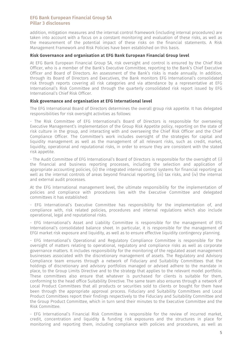addition, mitigation measures and the internal control framework (including internal procedures) are taken into account with a focus on a constant monitoring and evaluation of these risks, as well as the measurement of the potential impact of these risks on the financial statements. A Risk Management Framework and Risk Policies have been established on this basis.

### Risk Governance and organisation at EFG Bank European Financial Group level

At EFG Bank European Financial Group SA, risk oversight and control is ensured by the Chief Risk Officer, who is a member of the Bank's Executive Committee, reporting to the Bank's Chief Executive Officer and Board of Directors. An assessment of the Bank's risks is made annually. In addition, through its Board of Directors and Executives, the Bank monitors EFG International's consolidated risk through reports covering all risk categories and via attendance by a representative at EFG International's Risk Committee and through the quarterly consolidated risk report issued by EFG International's Chief Risk Officer.

### Risk governance and organisation at EFG International level

The EFG International Board of Directors determines the overall group risk appetite. It has delegated responsibilities for risk oversight activities as follows:

- The Risk Committee of EFG International's Board of Directors is responsible for overseeing Executive Management's implementation of the Group Risk Appetite policy, reporting on the state of risk culture in the group, and interacting with and overseeing the Chief Risk Officer and the Chief Compliance Officer. The Committee's work includes oversight of the strategies for capital and liquidity management as well as the management of all relevant risks, such as credit, market, liquidity, operational and reputational risks, in order to ensure they are consistent with the stated risk appetite.

- The Audit Committee of EFG International's Board of Directors is responsible for the oversight of: (i) the financial and business reporting processes, including the selection and application of appropriate accounting policies, (ii) the integrated internal control systems for financial reporting as well as the internal controls of areas beyond financial reporting, (iii) tax risks, and (iv) the internal and external audit processes.

At the EFG International management level, the ultimate responsibility for the implementation of policies and compliance with procedures lies with the Executive Committee and delegated committees it has established:

- EFG International's Executive Committee has responsibility for the implementation of, and compliance with, risk related policies, procedures and internal regulations which also include operational, legal and reputational risks.

- EFG International's Asset and Liability Committee is responsible for the management of EFG International's consolidated balance sheet. In particular, it is responsible for the management of EFGI market risk exposure and liquidity, as well as to ensure effective liquidity contingency planning.

- EFG International's Operational and Regulatory Compliance Committee is responsible for the oversight of matters relating to operational, regulatory and compliance risks as well as corporate governance matters. It includes responsibility for the monitoring of the regulated asset management businesses associated with the discretionary management of assets. The Regulatory and Advisory Compliance team ensures through a network of Fiduciary and Suitability Committees that the holdings of discretionary and advisory portfolios managed or advised adhere to the mandate in place, to the Group Limits Directive and to the strategy that applies to the relevant model portfolio. These committees also ensure that whatever is purchased for clients is suitable for them, conforming to the head office Suitability Directive. The same team also ensures through a network of Local Product Committees that all products or securities sold to clients or bought for them have been through the appropriate approval process. Fiduciary and Suitability Committees and Local Product Committees report their findings respectively to the Fiduciary and Suitability Committee and the Group Product Committee, which in turn send their minutes to the Executive Committee and the Risk Committee.

- EFG International's Financial Risk Committee is responsible for the review of incurred market, credit, concentration and liquidity & funding risk exposures and the structures in place for monitoring and reporting them, including compliance with policies and procedures, as well as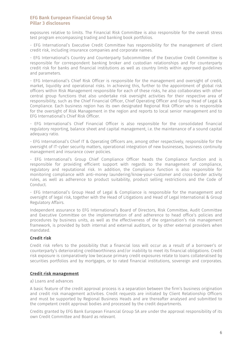exposures relative to limits. The Financial Risk Committee is also responsible for the overall stress test program encompassing trading and banking book portfolios.

- EFG International's Executive Credit Committee has responsibility for the management of client credit risk, including insurance companies and corporate names.

- EFG International's Country and Counterparty Subcommittee of the Executive Credit Committee is responsible for correspondent banking broker and custodian relationships and for counterparty credit risk for banks and financial institutions as well as country limits within approved guidelines and parameters.

- EFG International's Chief Risk Officer is responsible for the management and oversight of credit, market, liquidity and operational risks. In achieving this, further to the appointment of global risk officers within Risk Management responsible for each of these risks, he also collaborates with other central group functions that also undertake risk oversight activities for their respective area of responsibility, such as the Chief Financial Officer, Chief Operating Officer and Group Head of Legal & Compliance. Each business region has its own designated Regional Risk Officer who is responsible for the oversight of Risk Management in the region and reports to local senior management and to EFG International's Chief Risk Officer.

- EFG International's Chief Financial Officer is also responsible for the consolidated financial regulatory reporting, balance sheet and capital management, i.e. the maintenance of a sound capital adequacy ratio.

- EFG International's Chief IT & Operating Officers are, among other respectively, responsible for the oversight of IT-cyber security matters, operational integration of new businesses, business continuity management and insurance cover policies.

- EFG International's Group Chief Compliance Officer heads the Compliance function and is responsible for providing efficient support with regards to the management of compliance, regulatory and reputational risk. In addition, the Compliance function is also responsible for monitoring compliance with anti-money laundering/know-your-customer and cross-border activity rules, as well as adherence to product suitability, product selling restrictions and the Code of Conduct.

- EFG International's Group Head of Legal & Compliance is responsible for the management and oversight of legal risk, together with the Head of Litigations and Head of Legal International & Group Regulatory Affairs.

Independent assurance to EFG International's Board of Directors, Risk Committee, Audit Committee and Executive Committee on the implementation of and adherence to head office's policies and procedures by business units, as well as the effectiveness of the organisation's risk management framework, is provided by both internal and external auditors, or by other external providers when mandated.

## Credit risk

Credit risk refers to the possibility that a financial loss will occur as a result of a borrower's or counterparty's deteriorating creditworthiness and/or inability to meet its financial obligations. Credit risk exposure is comparatively low because primary credit exposures relate to loans collateralised by securities portfolios and by mortgages, or to rated financial institutions, sovereign and corporates.

#### Credit risk management

#### a) Loans and advances

A basic feature of the credit approval process is a separation between the firm's business origination and credit risk management activities. Credit requests are initiated by Client Relationship Officers and must be supported by Regional Business Heads and are thereafter analysed and submitted to the competent credit approval bodies and processed by the credit departments.

Credits granted by EFG Bank European Financial Group SA are under the approval responsibility of its own Credit Committee and Board as relevant.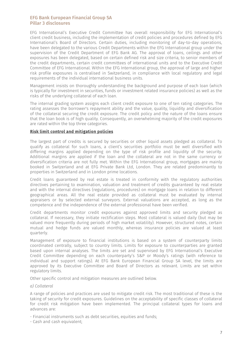EFG International's Executive Credit Committee has overall responsibility for EFG International's client credit business, including the implementation of credit policies and procedures defined by EFG International's Board of Directors. Certain duties, including monitoring of day-to-day operations, have been delegated to the various Credit Departments within the EFG International group under the supervision of the Credit Department of EFG Bank AG. The approval of loans, ceilings and other exposures has been delegated, based on certain defined risk and size criteria, to senior members of the credit departments, certain credit committees of international units and to the Executive Credit Committee of EFG International. Within the EFG International group, the approval of large and higher risk profile exposures is centralised in Switzerland, in compliance with local regulatory and legal requirements of the individual international business units.

Management insists on thoroughly understanding the background and purpose of each loan (which is typically for investment in securities, funds or investment related insurance policies) as well as the risks of the underlying collateral of each loan.

The internal grading system assigns each client credit exposure to one of ten rating categories. The rating assesses the borrower's repayment ability and the value, quality, liquidity and diversification of the collateral securing the credit exposure. The credit policy and the nature of the loans ensure that the loan book is of high quality. Consequently, an overwhelming majority of the credit exposures are rated within the top three categories.

### Risk limit control and mitigation policies

The largest part of credits is secured by securities or other liquid assets pledged as collateral. To qualify as collateral for such loans, a client's securities portfolio must be well diversified with differing margins applied depending on the type of risk profile and liquidity of the security. Additional margins are applied if the loan and the collateral are not in the same currency or diversification criteria are not fully met. Within the EFG International group, mortgages are mainly booked in Switzerland and at EFG Private Bank Ltd, London. They are related predominantly to properties in Switzerland and in London prime locations.

Credit loans guaranteed by real estate is treated in conformity with the regulatory authorities directives pertaining to examination, valuation and treatment of credits guaranteed by real estate and with the internal directives (regulations, procedures) on mortgage loans in relation to different geographical areas. All the real estate provided as collateral must be evaluated by internal appraisers or by selected external surveyors. External valuations are accepted, as long as the competence and the independence of the external professional have been verified.

Credit departments monitor credit exposures against approved limits and security pledged as collateral. If necessary, they initiate rectification steps. Most collateral is valued daily (but may be valued more frequently during periods of high market volatility). However, structured notes, certain mutual and hedge funds are valued monthly, whereas insurance policies are valued at least quarterly.

Management of exposure to financial institutions is based on a system of counterparty limits coordinated centrally, subject to country limits. Limits for exposure to counterparties are granted based upon internal analyses. The limits are set and supervised by EFG International's Executive Credit Committee depending on each counterparty's S&P or Moody's ratings (with reference to individual and support ratings). At EFG Bank European Financial Group SA level, the limits are approved by its Executive Committee and Board of Directors as relevant. Limits are set within regulatory limits.

Other specific control and mitigation measures are outlined below.

#### *a) Collateral*

A range of policies and practices are used to mitigate credit risk. The most traditional of these is the taking of security for credit exposures. Guidelines on the acceptability of specific classes of collateral for credit risk mitigation have been implemented. The principal collateral types for loans and advances are:

- Financial instruments such as debt securities, equities and funds;

- Cash and cash equivalent;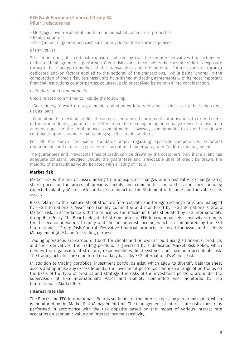- Mortgages over residential and to a limited extent commercial properties;
- Bank guarantees;
- Assignment of guaranteed cash surrender value of life insurance policies.

#### *b) Derivatives*

Strict monitoring of credit risk exposure induced by over-the-counter derivatives transactions vs. dedicated limits granted is performed. Credit risk exposure considers the current credit risk exposure through the marking-to-market of the transactions and the potential future exposure through dedicated add-on factors applied to the notional of the transactions. While being ignored in the computation of credit risk, business units have signed mitigating agreements with its most important financial institutions counterparties; collateral paid or received being taken into consideration.

#### *c) Credit related commitments*

Credit related commitments include the following:

- Guarantees, forward rate agreements and standby letters of credit - these carry the same credit risk as loans.

- Commitments to extend credit - these represent unused portions of authorisations to extend credit in the form of loans, guarantees or letters of credit, meaning being potentially exposed to loss in an amount equal to the total unused commitments. However, commitments to extend credit are contingent upon customers maintaining specific credit standards.

For all the above, the same standards apply regarding approval competences, collateral requirements and monitoring procedures as outlined under paragraph Credit risk management.

The guarantees and irrevocable lines of credit can be drawn by the customers only if the client has adequate collateral pledged. Should the guarantees and irrevocable lines of credit be drawn, the majority of the facilities would be rated with a rating of 1 to 3.

### Market risk

Market risk is the risk of losses arising from unexpected changes in interest rates, exchange rates, share prices or the prices of precious metals and commodities, as well as the corresponding expected volatility. Market risk can have an impact on the Statement of Income and the value of its assets.

Risks related to the balance sheet structure (interest rate and foreign exchange rate) are managed by EFG International's Asset and Liability Committee and monitored by EFG International's Group Market Risk, in accordance with the principles and maximum limits stipulated by EFG International's Group Risk Policy. The Board delegated Risk Committee of EFG International sets sensitivity risk limits for the economic value of equity and the net interest income, which are monitored by the EFG International's Group Risk Control. Derivative financial products are used for Asset and Liability Management (ALM) and for trading purposes.

Trading operations are carried out both for clients and on own account using all financial products and their derivatives. The trading portfolio is governed by a dedicated Market Risk Policy, which defines the organisational structure, responsibilities, limit systems and maximum acceptable risk. The trading activities are monitored on a daily basis by EFG International's Market Risk.

In addition to trading portfolios, investment portfolios exist, which allow to diversify balance sheet assets and optimise any excess liquidity. The investment portfolios comprise a range of portfolios on the basis of the type of product and strategy. The risks of the investment portfolio are under the supervision of EFG International's Asset and Liability Committee and monitored by EFG International's Market Risk.

#### Interest rate risk

The Bank's and EFG International's Boards set limits for the interest repricing gap or mismatch, which is monitored by the Market Risk Management Unit. The management of interest rate risk exposure is performed in accordance with the risk appetite based on the impact of various interest rate scenarios on economic value and interest income sensitivity.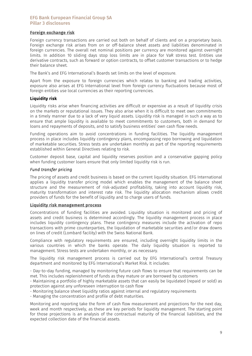## Foreign exchange risk

Foreign currency transactions are carried out both on behalf of clients and on a proprietary basis. Foreign exchange risk arises from on or off-balance sheet assets and liabilities denominated in foreign currencies. The overall net nominal positions per currency are monitored against overnight limits. In addition 10 sliding days stop loss limits are in place for VaR stress test. Entities use derivative contracts, such as forward or option contracts, to offset customer transactions or to hedge their balance sheet.

The Bank's and EFG International's Boards set limits on the level of exposure.

Apart from the exposure to foreign currencies which relates to banking and trading activities, exposure also arises at EFG International level from foreign currency fluctuations because most of foreign entities use local currencies as their reporting currencies.

## Liquidity risk

Liquidity risks arise when financing activities are difficult or expensive as a result of liquidity crisis on the markets or reputational issues. They also arise when it is difficult to meet own commitments in a timely manner due to a lack of very liquid assets. Liquidity risk is managed in such a way as to ensure that ample liquidity is available to meet commitments to customers, both in demand for loans and repayments of deposits, and to satisfy business entities' own cash flow needs.

Funding operations aim to avoid concentrations in funding facilities. The liquidity management process in place includes liquidity contingency plans, encompassing repo borrowing and liquidation of marketable securities. Stress tests are undertaken monthly as part of the reporting requirements established within General Directives relating to risk.

Customer deposit base, capital and liquidity reserves position and a conservative gapping policy when funding customer loans ensure that only limited liquidity risk is run.

### *Fund transfer pricing*

The pricing of assets and credit business is based on the current liquidity situation. EFG International applies a liquidity transfer pricing model which enables the management of the balance sheet structure and the measurement of risk-adjusted profitability, taking into account liquidity risk, maturity transformation and interest rate risk. The liquidity allocation mechanism allows credit providers of funds for the benefit of liquidity and to charge users of funds.

#### Liquidity risk management process

Concentrations of funding facilities are avoided. Liquidity situation is monitored and pricing of assets and credit business is determined accordingly. The liquidity management process in place includes liquidity contingency plans. These contingency measures include the activation of repo transactions with prime counterparties, the liquidation of marketable securities and/or draw downs on lines of credit (Lombard facility) with the Swiss National Bank.

Compliance with regulatory requirements are ensured, including overnight liquidity limits in the various countries in which the banks operate. The daily liquidity situation is reported to management. Stress tests are undertaken monthly, or as necessary.

The liquidity risk management process is carried out by EFG International's central Treasury department and monitored by EFG International's Market Risk. It includes:

- Day-to-day funding, managed by monitoring future cash flows to ensure that requirements can be met. This includes replenishment of funds as they mature or are borrowed by customers

- Maintaining a portfolio of highly marketable assets that can easily be liquidated (repaid or sold) as protection against any unforeseen interruption to cash flow

- Monitoring balance sheet liquidity ratios against internal and regulatory requirements
- Managing the concentration and profile of debt maturities.

Monitoring and reporting take the form of cash flow measurement and projections for the next day, week and month respectively, as these are key periods for liquidity management. The starting point for those projections is an analysis of the contractual maturity of the financial liabilities, and the expected collection date of the financial assets.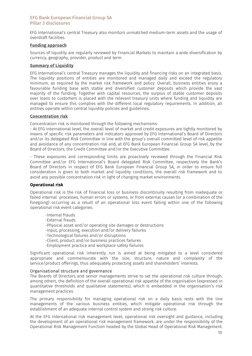EFG International's central Treasury also monitors unmatched medium-term assets and the usage of overdraft facilities.

### Funding approach

Sources of liquidity are regularly reviewed by Financial Markets to maintain a wide diversification by currency, geography, provider, product and term.

### Summary of Liquidity

EFG International's central Treasury manages the liquidity and financing risks on an integrated basis. The liquidity positions of entities are monitored and managed daily and exceed the regulatory minimum, as required by the market risk framework and policy. Overall, business entities enjoy a favourable funding base with stable and diversified customer deposits which provide the vast majority of the funding. Together with capital resources, the surplus of stable customer deposits over loans to customers is placed with the relevant treasury units where funding and liquidity are managed to ensure this complies with the different local regulatory requirements. In addition, all entities operate within central liquidity policies and guidelines.

### Concentration risk

Concentration risk is monitored through the following mechanisms:

- At EFG International level, the overall level of market and credit exposures are tightly monitored by means of specific risk parameters and indicators approved by EFG International's Board of Directors and/or its delegated Risk Committee in line with the group's overall committed level of risk appetite and avoidance of any concentration risk and, at EFG Bank European Financial Group SA level, by the Board of Directors, the Credit Committee and/or the Executive Committee.

- These exposures and corresponding limits are proactively reviewed through the Financial Risk Committee and/or EFG International's Board delegated Risk Committee, respectively the Bank's Board of Directors in respect of EFG Bank European Financial Group SA, in order to ensure full consideration is given to both market and liquidity conditions, the overall risk framework and to avoid any possible concentration risk in light of changing market environments.

## Operational risk

Operational risk is the risk of financial loss or business discontinuity resulting from inadequate or failed internal processes, human errors or systems, or from external causes (or a combination of the foregoing) occurring as a result of an operational loss event falling within one of the following operational risk event categories:

- -Internal frauds
- -External frauds
- -Physical asset and/or operating site damages or destructions
- -Input, processing, execution and/or delivery failures
- -Technological failures and/or disruptions
- -Client, product and/or business practices failures
- -Employment practice and workplace safety failures

Significant operational risk inherently run is aimed at being mitigated to a level considered appropriate and commensurate with the size, structure, nature and complexity of the service/product offerings, thus adequately protecting assets and shareholders' interests.

### Organisational structure and governance

The Boards of Directors and senior managements strive to set the operational risk culture through, among others, the definition of the overall operational risk appetite of the organisation (expressed in quantitative thresholds and qualitative statements), which is embedded in the organisation's risk management practices.

The primary responsibility for managing operational risk on a daily basis rests with the line managements of the various business entities, which mitigate operational risk through the establishment of an adequate internal control system and strong risk culture.

At the EFG International risk management level, operational risk oversight and guidance, including the development of an operational risk management framework, are under the responsibility of the Operational Risk Management Function headed by the Global Head of Operational Risk Management.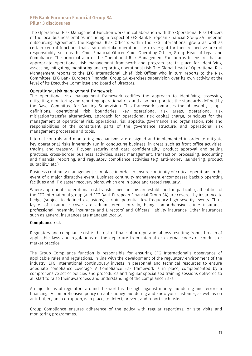The Operational Risk Management Function works in collaboration with the Operational Risk Officers of the local business entities, including in respect of EFG Bank European Financial Group SA under an outsourcing agreement, the Regional Risk Officers within the EFG International group as well as certain central functions that also undertake operational risk oversight for their respective area of responsibility, such as the Chief Financial Officer, Chief Operating Officer, Group Head of Legal and Compliance. The principal aim of the Operational Risk Management Function is to ensure that an appropriate operational risk management framework and program are in place for identifying, assessing, mitigating, monitoring and reporting operational risk. The Global Head of Operational Risk Management reports to the EFG International Chief Risk Officer who in turn reports to the Risk Committee. EFG Bank European Financial Group SA exercises supervision over its own activity at the level of its Executive Committee and Board of Directors.

#### Operational risk management framework

The operational risk management framework codifies the approach to identifying, assessing, mitigating, monitoring and reporting operational risk and also incorporates the standards defined by the Basel Committee for Banking Supervision. This framework comprises the philosophy, scope, definitions, operational risk boundaries, key operational risk areas, operational risk mitigation/transfer alternatives, approach for operational risk capital charge, principles for the management of operational risk, operational risk appetite, governance and organisation, role and responsibilities of the constituent parts of the governance structure, and operational risk management processes and tools.

Internal controls and monitoring mechanisms are designed and implemented in order to mitigate key operational risks inherently run in conducting business, in areas such as front-office activities, trading and treasury, IT-cyber security and data confidentiality, product approval and selling practices, cross-border business activities, asset management, transaction processing, accounting and financial reporting, and regulatory compliance activities (e.g. anti-money laundering, product suitability, etc.).

Business continuity management is in place in order to ensure continuity of critical operations in the event of a major disruptive event. Business continuity management encompasses backup operating facilities and IT disaster recovery plans, which are in place and tested regularly.

Where appropriate, operational risk transfer mechanisms are established; in particular, all entities of the EFG International group (and EFG Bank European Financial Group SA) are covered by insurance to hedge (subject to defined exclusions) certain potential low-frequency high-severity events. Three layers of insurance cover are administered centrally, being comprehensive crime insurance, professional indemnity insurance and Directors' and Officers' liability insurance. Other insurances such as general insurances are managed locally.

#### Compliance risk

Regulatory and compliance risk is the risk of financial or reputational loss resulting from a breach of applicable laws and regulations or the departure from internal or external codes of conduct or market practice.

The Group Compliance function is responsible for ensuring EFG International's observance of applicable rules and regulations. In line with the development of the regulatory environment of the industry, EFG International continuously invests in personnel and technical resources to ensure adequate compliance coverage. A Compliance risk framework is in place, complemented by a comprehensive set of policies and procedures and regular specialised training sessions delivered to all staff to raise their awareness and understanding of the compliance risks.

A major focus of regulators around the world is the fight against money laundering and terrorism financing. A comprehensive policy on anti-money laundering and know your customer, as well as on anti-bribery and corruption, is in place, to detect, prevent and report such risks.

Group Compliance ensures adherence of the policy with regular reportings, on-site visits and monitoring programmes.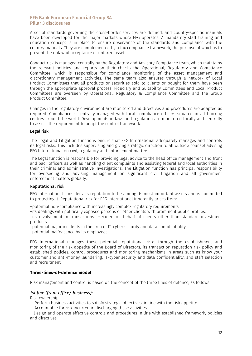A set of standards governing the cross-border services are defined, and country-specific manuals have been developed for the major markets where EFG operates. A mandatory staff training and education concept is in place to ensure observance of the standards and compliance with the country manuals. They are complemented by a tax compliance framework, the purpose of which is to prevent the unlawful acceptance of untaxed assets.

Conduct risk is managed centrally by the Regulatory and Advisory Compliance team, which maintains the relevant policies and reports on their checks the Operational, Regulatory and Compliance Committee, which is responsible for compliance monitoring of the asset management and discretionary management activities. The same team also ensures through a network of Local Product Committees that all products or securities sold to clients or bought for them have been through the appropriate approval process. Fiduciary and Suitability Committees and Local Product Committees are overseen by Operational, Regulatory & Compliance Committee and the Group Product Committee.

Changes in the regulatory environment are monitored and directives and procedures are adapted as required. Compliance is centrally managed with local compliance officers situated in all booking centres around the world. Developments in laws and regulation are monitored locally and centrally to assess the requirement to adapt the control framework.

#### Legal risk

The Legal and Litigation functions ensure that EFG International adequately manages and controls its legal risks. This includes supervising and giving strategic direction to all outside counsel advising EFG International on civil, regulatory and enforcement matters.

The Legal function is responsible for providing legal advice to the head office management and front and back officers as well as handling client complaints and assisting federal and local authorities in their criminal and administrative investigations. The Litigation function has principal responsibility for overseeing and advising management on significant civil litigation and all government enforcement matters globally.

#### Reputational risk

EFG International considers its reputation to be among its most important assets and is committed to protecting it. Reputational risk for EFG International inherently arises from:

–potential non-compliance with increasingly complex regulatory requirements.

–its dealings with politically exposed persons or other clients with prominent public profiles.

–its involvement in transactions executed on behalf of clients other than standard investment products.

–potential major incidents in the area of IT-cyber security and data confidentiality. –potential malfeasance by its employees.

EFG International manages these potential reputational risks through the establishment and monitoring of the risk appetite of the Board of Directors, its transaction reputation risk policy and established policies, control procedures and monitoring mechanisms in areas such as know-your customer and anti-money laundering, IT-cyber security and data confidentiality, and staff selection and recruitment.

## Three-lines-of-defence model

Risk management and control is based on the concept of the three lines of defence, as follows:

## *1st line (front office/ business):*

Risk ownership

- Perform business activities to satisfy strategic objectives, in line with the risk appetite
- Accountable for risk incurred in discharging these activities

– Design and operate effective controls and procedures in line with established framework, policies and directives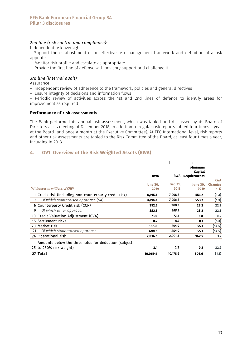## *2nd line (risk control and compliance):*

Independent risk oversight

– Support the establishment of an effective risk management framework and definition of a risk appetite

– Monitor risk profile and escalate as appropriate

– Provide the first line of defense with advisory support and challenge it.

## *3rd line (internal audit):*

Assurance

– Independent review of adherence to the framework, policies and general directives

– Ensure integrity of decisions and information flows

– Periodic review of activities across the 1st and 2nd lines of defence to identify areas for improvement as required

#### Performance of risk assessments

The Bank performed its annual risk assessment, which was tabled and discussed by its Board of Directors at its meeting of December 2018, in addition to regular risk reports tabled four times a year at the Board (and once a month at the Executive Committee). At EFG International level, risk reports and other risk assessments are tabled to the Risk Committee of the Board, at least four times a year, including in 2018.

# 4. OV1: Overview of the Risk Weighted Assets (RWA)

|                                                        | a               | b          | C<br>Minimum<br>Capital |                |
|--------------------------------------------------------|-----------------|------------|-------------------------|----------------|
|                                                        | <b>RWA</b>      | <b>RWA</b> | <b>Requirements</b>     |                |
|                                                        |                 |            |                         | <b>RWA</b>     |
|                                                        | <b>June 30.</b> | Dec. 31,   | <b>June 30.</b>         | <b>Changes</b> |
| (All figures in millions of CHF)                       | 2019            | 2018       | 2019                    | in %           |
| 1 Credit risk (including non-counterparty credit risk) | 6,915.5         | 7,008.8    | 553.2                   | (1.3)          |
| Of which stantardised approach (SA)<br>$\overline{2}$  | 6,915.5         | 7,008.8    | 553.2                   | (1.3)          |
| 6 Counterparty Credit risk (CCR)                       | 352.5           | 288.3      | 28.2                    | 22.3           |
| Of which other approach<br>9                           | 352.5           | 288.3      | 28.2                    | 22.3           |
| 10 Credit Valuation Adjustment (CVA)                   | 73.0            | 72.3       | 5.8                     | 0.9            |
| 15 Settlement risks                                    | 0.7             | 0.7        | 0.1                     | (5.3)          |
| 20 Market risk                                         | 688.6           | 804.9      | 55.1                    | (14.5)         |
| Of which standardised approach<br>21                   | 688.6           | 804.9      | 55.1                    | (14.5)         |
| 24 Operational risk                                    | 2,036.1         | 2,001.3    | 162.9                   | 1.7            |
| Amounts below the thresholds for deduction (subject    |                 |            |                         |                |
| 25 to 250% risk weight)                                | 3.1             | 2.3        | 0.2                     | 32.9           |
| 27 Total                                               | 10.069.4        | 10,178.6   | 805.6                   | (1.1)          |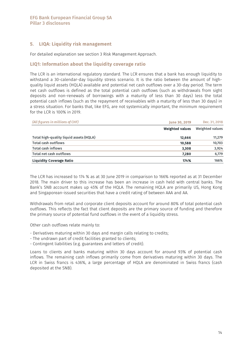# 5. LIQA: Liquidity risk management

For detailed explanation see section 3 Risk Management Approach.

## LIQ1: Information about the liquidity coverage ratio

The LCR is an international regulatory standard. The LCR ensures that a bank has enough liquidity to withstand a 30-calendar-day liquidity stress scenario. It is the ratio between the amount of highquality liquid assets (HQLA) available and potential net cash outflows over a 30-day period. The term net cash outflows is defined as the total potential cash outflows (such as withdrawals from sight deposits and non-renewals of borrowings with a maturity of less than 30 days) less the total potential cash inflows (such as the repayment of receivables with a maturity of less than 30 days) in a stress situation. For banks that, like EFG, are not systemically important, the minimum requirement for the LCR is 100% in 2019.

| (All figures in millions of CHF)        | <b>June 30, 2019</b>   | Dec. 31, 2018   |  |
|-----------------------------------------|------------------------|-----------------|--|
|                                         | <b>Weighted values</b> | Weighted values |  |
| Total high-quality liquid assets (HQLA) | 12,666                 | 11.279          |  |
| <b>Total cash outflows</b>              | 10,588                 | 10,703          |  |
| <b>Total cash inflows</b>               | 3,308                  | 3,924           |  |
| Total net cash outflows                 | 7.280                  | 6,779           |  |
| <b>Liquidity Coverage Ratio</b>         | 174%                   | 166%            |  |

The LCR has increased to 174 % as at 30 June 2019 in comparison to 166% reported as at 31 December 2018. The main driver to this increase has been an increase in cash held with central banks. The Bank's SNB account makes up 45% of the HQLA. The remaining HQLA are primarily US, Hong Kong and Singaporean-issued securities that have a credit rating of between AAA and AA.

Withdrawals from retail and corporate client deposits account for around 80% of total potential cash outflows. This reflects the fact that client deposits are the primary source of funding and therefore the primary source of potential fund outflows in the event of a liquidity stress.

Other cash outflows relate mainly to:

- Derivatives maturing within 30 days and margin calls relating to credits;
- The undrawn part of credit facilities granted to clients;
- Contingent liabilities (e.g. guarantees and letters of credit).

Loans to clients and banks maturing within 30 days account for around 93% of potential cash inflows. The remaining cash inflows primarily come from derivatives maturing within 30 days. The LCR in Swiss francs is 436%, a large percentage of HQLA are denominated in Swiss francs (cash deposited at the SNB).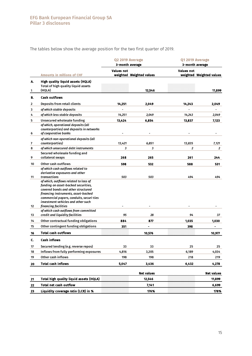The tables below show the average position for the two first quarter of 2019.

|         |                                                                                                                                                                                                                                                  | Q2 2019 Average<br>3-month average |                          | Q1 2019 Average<br>3-month average |                          |  |
|---------|--------------------------------------------------------------------------------------------------------------------------------------------------------------------------------------------------------------------------------------------------|------------------------------------|--------------------------|------------------------------------|--------------------------|--|
|         | <b>Amounts in millions of CHF</b>                                                                                                                                                                                                                | <b>Values not</b>                  | weighted Weighted values | <b>Values not</b>                  | weighted Weighted values |  |
| Α.<br>1 | High quality liquid assets (HQLA)<br>Total of high quality liquid assets<br>(HQLA)                                                                                                                                                               |                                    | 12,546                   |                                    | 11,899                   |  |
| В.      | <b>Cash outflows</b>                                                                                                                                                                                                                             |                                    |                          |                                    |                          |  |
| 2       | Deposits from retail clients                                                                                                                                                                                                                     | 14,251                             | 2,049                    | 14,243                             | 2,049                    |  |
| 3       | of which stable deposits                                                                                                                                                                                                                         |                                    |                          |                                    | $\overline{a}$           |  |
| 4       | of which less stable deposits                                                                                                                                                                                                                    | 14,251                             | 2,049                    | 14,243                             | 2,049                    |  |
| 5       | Unsecured wholesale funding                                                                                                                                                                                                                      | 13,424                             | 6,854                    | 13,837                             | 7,123                    |  |
| 6       | of which, operational deposits (all<br>counterparties) and deposits in networks<br>of cooperative banks                                                                                                                                          |                                    |                          |                                    |                          |  |
| 7       | of which non-operational deposits (all<br>counterparties)                                                                                                                                                                                        | 13,421                             | 6,851                    | 13,835                             | 7,121                    |  |
| 8       | of which unsecured debt instruments                                                                                                                                                                                                              | 3                                  | 3                        | 2                                  | $\overline{a}$           |  |
|         | Secured wholesale funding and                                                                                                                                                                                                                    |                                    |                          |                                    |                          |  |
| 9       | collateral swaps                                                                                                                                                                                                                                 | 268                                | 265                      | 261                                | 244                      |  |
| 10      | Other cash outflows                                                                                                                                                                                                                              | 598                                | 532                      | 588                                | 531                      |  |
| 11      | of which cash outflows related to<br>derivative exposures and other<br>transactions<br>of which, outflows related to loss of<br>funding on asset-backed securities,<br>covered bonds and other structured<br>financing instruments, asset-backed | 503                                | 503                      | 494                                | 494                      |  |
| 12      | commercial papers, conduits, securi-ties<br>investment vehicles and other such<br>financing facilities<br>of which cash outflows from committed<br>credit and liquidity facilities                                                               | 95                                 | 28                       | 94                                 |                          |  |
| 13      |                                                                                                                                                                                                                                                  |                                    |                          |                                    | 37                       |  |
| 14      | Other contractual funding obligations                                                                                                                                                                                                            | 884                                | 877                      | 1,035                              | 1,030                    |  |
| 15      | Other contingent funding obligations                                                                                                                                                                                                             | 351                                |                          | 398                                |                          |  |
| 16      | <b>Total cash outflows</b>                                                                                                                                                                                                                       |                                    | 10,576                   |                                    | 10,977                   |  |
| c.      | Cash inflows                                                                                                                                                                                                                                     |                                    |                          |                                    |                          |  |
| 17      | Secured lending (e.g. reverse repos)                                                                                                                                                                                                             | 33                                 | 33                       | 25                                 | 25                       |  |
| 18      | Inflows from fully performing exposures                                                                                                                                                                                                          | 4,816                              | 3,205                    | 6,189                              | 4,034                    |  |
| 19      | Other cash inflows                                                                                                                                                                                                                               | 198                                | 198                      | 218                                | 219                      |  |
| 20      | <b>Total cash inflows</b>                                                                                                                                                                                                                        | 5,047                              | 3,436                    | 6,432                              | 4,278                    |  |
|         |                                                                                                                                                                                                                                                  |                                    | <b>Net values</b>        |                                    | <b>Net values</b>        |  |
| 21      | Total high quality liquid assets (HQLA)                                                                                                                                                                                                          |                                    | 12,546                   |                                    | 11,899                   |  |
| 22      | <b>Total net cash outflow</b>                                                                                                                                                                                                                    |                                    | 7,141                    |                                    | 6,699                    |  |
| 23      | Liquidity coverage ratio (LCR) in %                                                                                                                                                                                                              |                                    | 176%                     |                                    | 178%                     |  |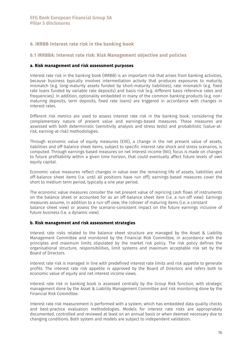# 6. IRRBB Interest rate risk in the banking book

### 6.1 IRRBBA: Interest rate risk: Risk Management objective and policies

#### a. Risk management and risk assessment purposes

Interest rate risk in the banking book (IRRBB) is an important risk that arises from banking activities, because business typically involves intermediation activity that produces exposures to maturity mismatch (e.g. long-maturity assets funded by short-maturity liabilities), rate mismatch (e.g. fixed rate loans funded by variable rate deposits) and basis risk (e.g. different basis reference rates and frequencies). In addition, optionality embedded in many of the common banking products (e.g. nonmaturing deposits, term deposits, fixed rate loans) are triggered in accordance with changes in interest rates.

Different risk metrics are used to assess interest rate risk in the banking book, considering the complementary nature of present value and earnings-based measures. These measures are assessed with both deterministic (sensitivity analysis and stress tests) and probabilistic (value-atrisk, earning-at-risk) methodologies.

Through economic value of equity measures (EVE), a change in the net present value of assets, liabilities and off-balance sheet items, subject to specific interest rate shock and stress scenarios, is computed. Through earnings-based measures on net interest income (NII), focus is made on changes to future profitability within a given time horizon, that could eventually affect future levels of own equity capital.

Economic value measures reflect changes in value over the remaining life of assets, liabilities and off-balance sheet items (i.e. until all positions have run off); earnings-based measures cover the short to medium term period, typically a one year period.

The economic value measures consider the net present value of repricing cash flows of instruments on the balance sheet or accounted for as an off-balance sheet item (i.e. a run-off view). Earnings measures assume, in addition to a run-off view, the rollover of maturing items (i.e. a constant balance sheet view) or assess the scenario-consistent impact on the future earnings inclusive of future business (i.e. a dynamic view).

#### b. Risk management and risk assessment strategies

Interest rate risks related to the balance sheet structure are managed by the Asset & Liability Management Committee and monitored by the Financial Risk Committee, in accordance with the principles and maximum limits stipulated by the market risk policy. The risk policy defines the organisational structure, responsibilities, limit systems and maximum acceptable risk set by the Board of Directors.

Interest rate risk is managed in line with predefined interest rate limits and risk appetite to generate profits. The interest rate risk appetite is approved by the Board of Directors and refers both to economic value of equity and net interest income views.

Interest rate risk in banking book is assessed centrally by the Group Risk function, with strategic management done by the Asset & Liability Management Committee and risk monitoring done by the Financial Risk Committee.

Interest rate risk measurement is performed with a system, which has embedded data quality checks and best-practice evaluation methodologies. Models for interest rate risks are appropriately documented, controlled and reviewed at least on an annual basis or when deemed necessary due to changing conditions. Both system and models are subject to independent validation.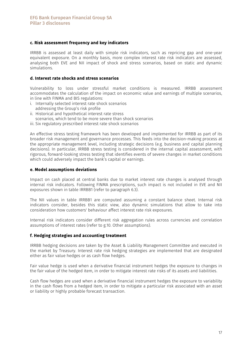## c. Risk assessment frequency and key indicators

IRRBB is assessed at least daily with simple risk indicators, such as repricing gap and one-year equivalent exposure. On a monthly basis, more complex interest rate risk indicators are assessed, analysing both EVE and NII impact of shock and stress scenarios, based on static and dynamic simulations.

### d. Interest rate shocks and stress scenarios

Vulnerability to loss under stressful market conditions is measured. IRRBB assessment accommodates the calculation of the impact on economic value and earnings of multiple scenarios, in line with FINMA and BIS regulations:

- i. Internally selected interest rate shock scenarios addressing the Group's risk profile
- ii. Historical and hypothetical interest rate stress
- scenarios, which tend to be more severe than shock scenarios
- iii. Six regulatory prescribed interest rate shock scenarios

An effective stress testing framework has been developed and implemented for IRRBB as part of its broader risk management and governance processes. This feeds into the decision-making process at the appropriate management level, including strategic decisions (e.g. business and capital planning decisions). In particular, IRRBB stress testing is considered in the internal capital assessment, with rigorous, forward-looking stress testing that identifies events of severe changes in market conditions which could adversely impact the bank's capital or earnings.

#### e. Model assumptions deviations

Impact on cash placed at central banks due to market interest rate changes is analysed through internal risk indicators. Following FINMA prescriptions, such impact is not included in EVE and NII exposures shown in table IRRBB1 (refer to paragraph 6.3).

The NII values in table IRRBB1 are computed assuming a constant balance sheet. Internal risk indicators consider, besides this static view, also dynamic simulations that allow to take into consideration how customers' behaviour affect interest rate risk exposures.

Internal risk indicators consider different risk aggregation rules across currencies and correlation assumptions of interest rates (refer to g.10. Other assumptions).

## f. Hedging strategies and accounting treatment

IRRBB hedging decisions are taken by the Asset & Liability Management Committee and executed in the market by Treasury. Interest rate risk hedging strategies are implemented that are designated either as fair value hedges or as cash flow hedges.

Fair value hedge is used when a derivative financial instrument hedges the exposure to changes in the fair value of the hedged item, in order to mitigate interest rate risks of its assets and liabilities.

Cash flow hedges are used when a derivative financial instrument hedges the exposure to variability in the cash flows from a hedged item, in order to mitigate a particular risk associated with an asset or liability or highly probable forecast transaction.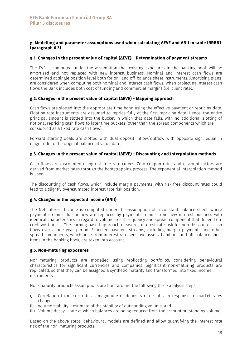## g. Modelling and parameter assumptions used when calculating ΔEVE and ΔNII in table IRRBB1 (paragraph 6.3)

### g.1. Changes in the present value of capital (ΔEVE) - Determination of payment streams

The EVE is computed under the assumption that existing exposures in the banking book will be amortised and not replaced with new interest business. Nominal and interest cash flows are determined at single position level both for on- and off-balance sheet instruments. Amortising plans are considered when computing both nominal and interest cash flows. When projecting interest cash flows the Bank includes both cost of funding and commercial margins (i.e. client rate).

### g.2. Changes in the present value of capital (ΔEVE) - Mapping approach

Cash flows are slotted into the appropriate time band using the effective payment or repricing date. Floating rate instruments are assumed to reprice fully at the first repricing date. Hence, the entire principal amount is slotted into the bucket in which that date falls, with no additional slotting of notional repricing cash flows to later time buckets (other than the spread components which are considered as a fixed rate cash flows).

Forward starting deals are slotted with dual deposit inflow/outflow with opposite sign, equal in magnitude to the original balance at value date.

### g.3. Changes in the present value of capital (ΔEVE) - Discounting and interpolation methods

Cash flows are discounted using risk-free rate curves. Zero-coupon rates and discount factors are derived from market rates through the bootstrapping process. The exponential interpolation method is used.

The discounting of cash flows, which include margin payments, with risk-free discount rates could lead to a slightly overestimated interest rate risk position.

#### g.4. Changes in the expected income (ΔNII)

The Net Interest Income is computed under the assumption of a constant balance sheet, where payment streams due or new are replaced by payment streams from new interest business with identical characteristics in regard to volume, reset frequency and spread component that depend on creditworthiness. The earning-based approach measures interest rate risk for non-discounted cash flows over a one year period. Expected payment streams, including margin payments and other spread components, which arise from interest rate sensitive assets, liabilities and off-balance sheet items in the banking book, are taken into account.

### g.5. Non-maturing exposures

Non-maturing products are modelled using replicating portfolios, considering behavioural characteristics for significant currencies and companies. Significant non-maturing products are replicated, so that they can be assigned a synthetic maturity and transformed into fixed income instruments.

Non-maturity products assumptions are built around the following three analysis steps:

- i) Correlation to market rates magnitude of deposits rate shifts, in response to market rates changes
- ii) Volume stability estimate of the stability of outstanding volume, and
- iii) Volume decay rate at which balances are being reduced from the account outstanding volume

Based on the above steps, behavioural models are defined and allow quantifying the interest rate risk of the non-maturing products.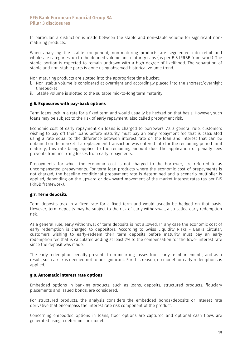In particular, a distinction is made between the stable and non-stable volume for significant nonmaturing products.

When analysing the stable component, non-maturing products are segmented into retail and wholesale categories, up to the defined volume and maturity caps (as per BIS IRRBB framework). The stable portion is expected to remain undrawn with a high degree of likelihood. The separation of stable and non-stable parts is done using observed historical volume trend.

Non maturing products are slotted into the appropriate time bucket:

- i. Non-stable volume is considered at overnight and accordingly placed into the shortest/overnight timebucket
- ii. Stable volume is slotted to the suitable mid-to-long term maturity

#### g.6. Exposures with pay-back options

Term loans lock in a rate for a fixed term and would usually be hedged on that basis. However, such loans may be subject to the risk of early repayment, also called prepayment risk.

Economic cost of early repayment on loans is charged to borrowers. As a general rule, customers wishing to pay off their loans before maturity must pay an early repayment fee that is calculated using a rate equal to the difference between interest rate on the loan and interest that can be obtained on the market if a replacement transaction was entered into for the remaining period until maturity, this rate being applied to the remaining amount due. The application of penalty fees prevents from incurring losses from early repayments.

Prepayments, for which the economic cost is not charged to the borrower, are referred to as uncompensated prepayments. For term loan products where the economic cost of prepayments is not charged, the baseline conditional prepayment rate is determined and a scenario multiplier is applied, depending on the upward or downward movement of the market interest rates (as per BIS IRRBB framework).

#### g.7. Term deposits

Term deposits lock in a fixed rate for a fixed term and would usually be hedged on that basis. However, term deposits may be subject to the risk of early withdrawal, also called early redemption risk.

As a general rule, early withdrawal of term deposits is not allowed. In any case the economic cost of early redemption is charged to depositors. According to Swiss Liquidity Risks - Banks Circular, customers wishing to early-redeem their term deposits before maturity must pay an early redemption fee that is calculated adding at least 2% to the compensation for the lower interest rate since the deposit was made.

The early redemption penalty prevents from incurring losses from early reimbursements; and as a result, such a risk is deemed not to be significant. For this reason, no model for early redemptions is applied.

### g.8. Automatic interest rate options

Embedded options in banking products, such as loans, deposits, structured products, fiduciary placements and issued bonds, are considered.

For structured products, the analysis considers the embedded bonds/deposits or interest rate derivative that encompass the interest rate risk component of the product.

Concerning embedded options in loans, floor options are captured and optional cash flows are generated using a deterministic model.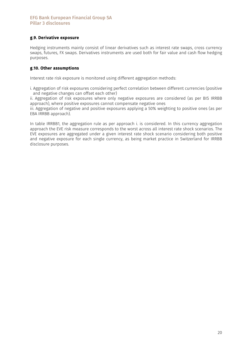# g.9. Derivative exposure

Hedging instruments mainly consist of linear derivatives such as interest rate swaps, cross currency swaps, futures, FX swaps. Derivatives instruments are used both for fair value and cash flow hedging purposes.

### g.10. Other assumptions

Interest rate risk exposure is monitored using different aggregation methods:

i. Aggregation of risk exposures considering perfect correlation between different currencies (positive and negative changes can offset each other)

ii. Aggregation of risk exposures where only negative exposures are considered (as per BIS IRRBB approach), where positive exposures cannot compensate negative ones

iii. Aggregation of negative and positive exposures applying a 50% weighting to positive ones (as per EBA IRRBB approach).

In table IRRBB1, the aggregation rule as per approach i. is considered. In this currency aggregation approach the EVE risk measure corresponds to the worst across all interest rate shock scenarios. The EVE exposures are aggregated under a given interest rate shock scenario considering both positive and negative exposure for each single currency, as being market practice in Switzerland for IRRBB disclosure purposes.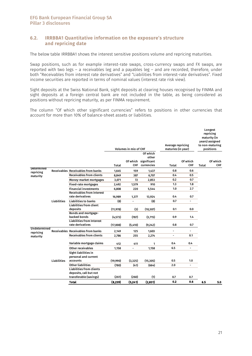## 6.2. IRRBBA1 Quantitative information on the exposure's structure and repricing date

The below table IRRBBA1 shows the interest sensitive positions volume and repricing maturities.

Swap positions, such as for example interest-rate swaps, cross-currency swaps and FX swaps, are reported with two legs – a receivables leg and a payables leg – and are recorded, therefore, under both "Receivables from interest rate derivatives" and "Liabilities from interest-rate derivatives". Fixed income securities are reported in terms of nominal values (interest rate risk view).

Sight deposits at the Swiss National Bank, sight deposits at clearing houses recognised by FINMA and sight deposits at a foreign central bank are not included in the table, as being considered as positions without repricing maturity, as per FINMA requirement.

The column "Of which other significant currencies" refers to positions in other currencies that account for more than 10% of balance-sheet assets or liabilities.

|                           |                    |                                              |           | <b>Volumes in mio of CHF</b> |                                  | Average repricing<br>maturies (in year) |                          |       | Longest<br>repricing<br>maturity (in<br>years) assigned<br>to non-maturing<br>positions |  |
|---------------------------|--------------------|----------------------------------------------|-----------|------------------------------|----------------------------------|-----------------------------------------|--------------------------|-------|-----------------------------------------------------------------------------------------|--|
|                           |                    |                                              |           | Of which                     | Of which<br>other<br>significant |                                         | Of which                 |       | Of which                                                                                |  |
|                           |                    |                                              | Total     | <b>CHF</b>                   | currencies                       | Total                                   | <b>CHF</b>               | Total | <b>CHF</b>                                                                              |  |
| Determined<br>repricing   |                    | <b>Receivables Receivables from banks</b>    | 1,645     | 159                          | 1,437                            | 0.8                                     | 0.6                      |       |                                                                                         |  |
| maturity                  |                    | <b>Receivables from clients</b>              | 8,849     | 387                          | 6,707                            | 0.4                                     | 0.5                      |       |                                                                                         |  |
|                           |                    | Money-market mortgages                       | 3,071     | 72                           | 2,853                            | 0.2                                     | 0.7                      |       |                                                                                         |  |
|                           |                    | <b>Fixed-rate mortgages</b>                  | 2,492     | 1,579                        | 910                              | 1.3                                     | 1.8                      |       |                                                                                         |  |
|                           |                    | <b>Financial investments</b>                 | 6,808     | 220                          | 5,544                            | 1.0                                     | 2.7                      |       |                                                                                         |  |
|                           |                    | <b>Receivables from interest</b>             |           |                              |                                  |                                         |                          |       |                                                                                         |  |
|                           |                    | rate derivatives                             | 16,989    | 1,377                        | 13,924                           | 0.4                                     | 0.7                      |       |                                                                                         |  |
|                           | <b>Liabilities</b> | <b>Liabilities to banks</b>                  | (8)       | $\blacksquare$               | (8)                              | 0.7                                     | $\overline{\phantom{a}}$ |       |                                                                                         |  |
|                           |                    | <b>Liabilities from client</b>               |           |                              |                                  |                                         |                          |       |                                                                                         |  |
|                           |                    | deposits                                     | (11, 978) | (3)                          | (10, 307)                        | 0.1                                     | 0.0                      |       |                                                                                         |  |
|                           |                    | Bonds and mortgage-<br>backed bonds          |           |                              |                                  | 0.9                                     | 1.4                      |       |                                                                                         |  |
|                           |                    | <b>Liabilities from Interest</b>             | (4, 573)  | (787)                        | (3,715)                          |                                         |                          |       |                                                                                         |  |
|                           |                    | rate derivatives                             | (17,008)  | (5,410)                      | (9,242)                          | 0.8                                     | 0.7                      |       |                                                                                         |  |
| Undetermined<br>repricing |                    | Receivables Receivables from banks           | 2,149     | 125                          | 1,603                            | ä,                                      | $\overline{\phantom{a}}$ |       |                                                                                         |  |
| maturity                  |                    | <b>Receivables from clients</b>              | 2,786     | 255                          | 2,274                            | ÷,                                      | 0.1                      |       |                                                                                         |  |
|                           |                    |                                              |           |                              |                                  |                                         |                          |       |                                                                                         |  |
|                           |                    | Variable mortgage claims                     | 412       | 411                          | 1                                | 0.4                                     | 0.4                      |       |                                                                                         |  |
|                           |                    | Other receivables                            | 1,158     |                              | 1,158                            | 6.5                                     | $\blacksquare$           |       |                                                                                         |  |
|                           |                    | Sight liabilities in<br>personal and current |           |                              |                                  |                                         |                          |       |                                                                                         |  |
|                           | <b>Liabilities</b> | accounts                                     | (19,990)  | (3, 325)                     | (15, 305)                        | 0.5                                     | 1.0                      |       |                                                                                         |  |
|                           |                    | <b>Other liabilities</b>                     | (780)     | (41)                         | (664)                            | 2.0                                     | L,                       |       |                                                                                         |  |
|                           |                    | <b>Liabilities from clients</b>              |           |                              |                                  |                                         |                          |       |                                                                                         |  |
|                           |                    | deposits, call but not                       |           |                              |                                  |                                         |                          |       |                                                                                         |  |
|                           |                    | transferable (savings)                       | (261)     | (260)                        | (1)                              | 0.7                                     | 0.7                      |       |                                                                                         |  |
|                           |                    | <b>Total</b>                                 | (8,239)   | (5,241)                      | (2,831)                          | 0.2                                     | 0.6                      | 6.5   | 5.0                                                                                     |  |
|                           |                    |                                              |           |                              |                                  |                                         |                          |       |                                                                                         |  |